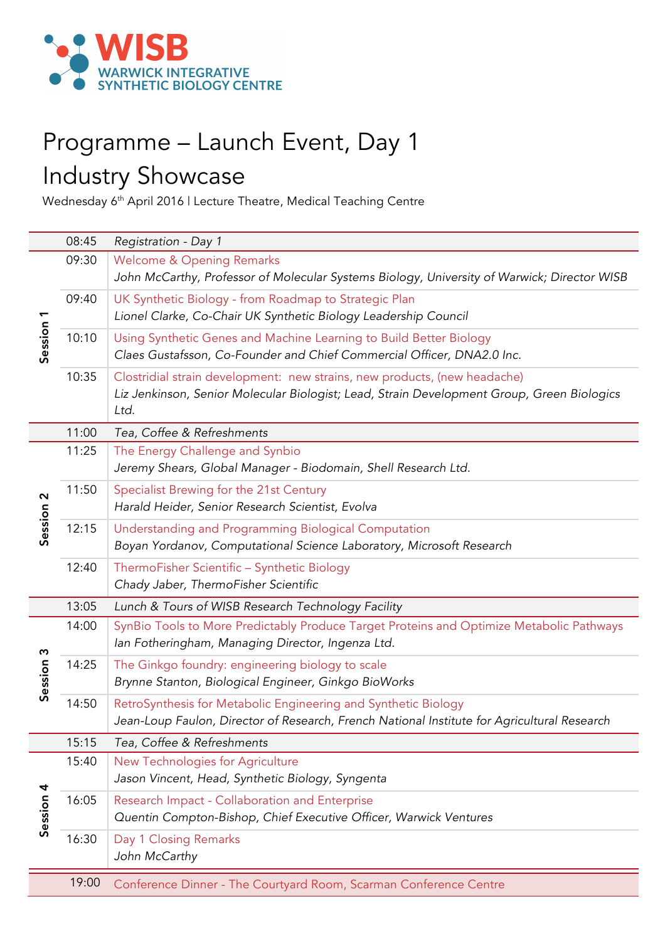

## Programme – Launch Event, Day 1 Industry Showcase

Wednesday 6th April 2016 | Lecture Theatre, Medical Teaching Centre

|                       | 08:45 | Registration - Day 1                                                                        |
|-----------------------|-------|---------------------------------------------------------------------------------------------|
|                       | 09:30 | <b>Welcome &amp; Opening Remarks</b>                                                        |
| Session 1             |       | John McCarthy, Professor of Molecular Systems Biology, University of Warwick; Director WISB |
|                       | 09:40 | UK Synthetic Biology - from Roadmap to Strategic Plan                                       |
|                       |       | Lionel Clarke, Co-Chair UK Synthetic Biology Leadership Council                             |
|                       | 10:10 | Using Synthetic Genes and Machine Learning to Build Better Biology                          |
|                       |       | Claes Gustafsson, Co-Founder and Chief Commercial Officer, DNA2.0 Inc.                      |
|                       | 10:35 | Clostridial strain development: new strains, new products, (new headache)                   |
|                       |       | Liz Jenkinson, Senior Molecular Biologist; Lead, Strain Development Group, Green Biologics  |
|                       |       | Ltd.                                                                                        |
|                       | 11:00 | Tea, Coffee & Refreshments                                                                  |
|                       | 11:25 | The Energy Challenge and Synbio                                                             |
|                       |       | Jeremy Shears, Global Manager - Biodomain, Shell Research Ltd.                              |
| $\sim$                | 11:50 | Specialist Brewing for the 21st Century                                                     |
|                       |       | Harald Heider, Senior Research Scientist, Evolva                                            |
| Session               | 12:15 | Understanding and Programming Biological Computation                                        |
|                       |       | Boyan Yordanov, Computational Science Laboratory, Microsoft Research                        |
|                       | 12:40 | ThermoFisher Scientific - Synthetic Biology                                                 |
|                       |       | Chady Jaber, ThermoFisher Scientific                                                        |
|                       | 13:05 | Lunch & Tours of WISB Research Technology Facility                                          |
|                       | 14:00 | SynBio Tools to More Predictably Produce Target Proteins and Optimize Metabolic Pathways    |
| $\boldsymbol{\omega}$ |       | Ian Fotheringham, Managing Director, Ingenza Ltd.                                           |
|                       | 14:25 | The Ginkgo foundry: engineering biology to scale                                            |
| Session               |       | Brynne Stanton, Biological Engineer, Ginkgo BioWorks                                        |
|                       | 14:50 | RetroSynthesis for Metabolic Engineering and Synthetic Biology                              |
|                       |       | Jean-Loup Faulon, Director of Research, French National Institute for Agricultural Research |
|                       | 15:15 | Tea, Coffee & Refreshments                                                                  |
| Session 4             | 15:40 | New Technologies for Agriculture                                                            |
|                       |       | Jason Vincent, Head, Synthetic Biology, Syngenta                                            |
|                       | 16:05 | Research Impact - Collaboration and Enterprise                                              |
|                       |       | Quentin Compton-Bishop, Chief Executive Officer, Warwick Ventures                           |
|                       | 16:30 | Day 1 Closing Remarks                                                                       |
|                       |       | John McCarthy                                                                               |
|                       | 19:00 | Conference Dinner - The Courtyard Room, Scarman Conference Centre                           |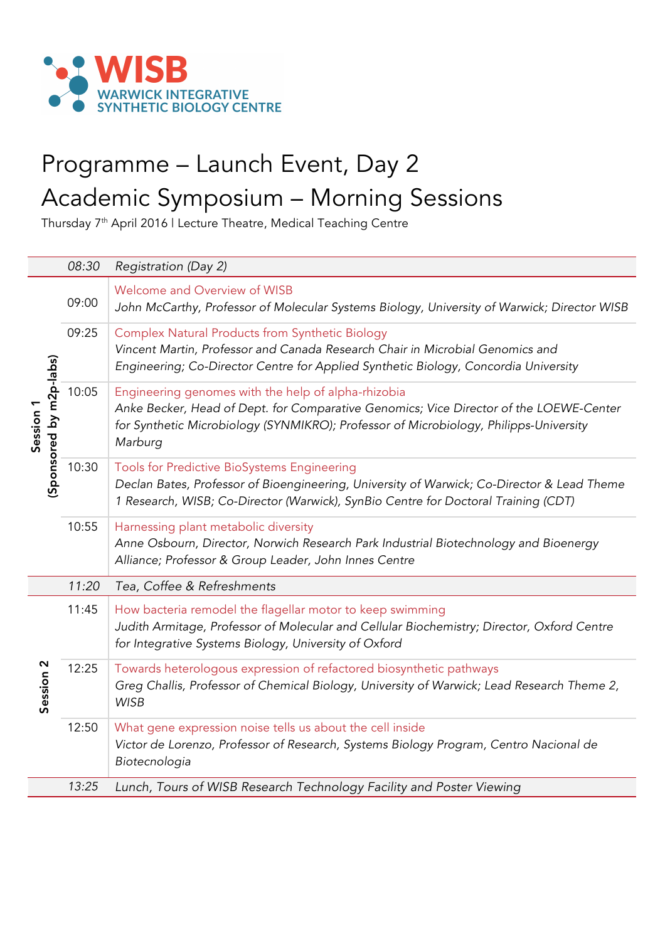

## Programme – Launch Event, Day 2 Academic Symposium – Morning Sessions

Thursday 7th April 2016 | Lecture Theatre, Medical Teaching Centre

|                                      | 08:30 | Registration (Day 2)                                                                                                                                                                                                                              |
|--------------------------------------|-------|---------------------------------------------------------------------------------------------------------------------------------------------------------------------------------------------------------------------------------------------------|
| (Sponsored by m2p-labs)<br>Session 1 | 09:00 | Welcome and Overview of WISB<br>John McCarthy, Professor of Molecular Systems Biology, University of Warwick; Director WISB                                                                                                                       |
|                                      | 09:25 | <b>Complex Natural Products from Synthetic Biology</b><br>Vincent Martin, Professor and Canada Research Chair in Microbial Genomics and<br>Engineering; Co-Director Centre for Applied Synthetic Biology, Concordia University                    |
|                                      | 10:05 | Engineering genomes with the help of alpha-rhizobia<br>Anke Becker, Head of Dept. for Comparative Genomics; Vice Director of the LOEWE-Center<br>for Synthetic Microbiology (SYNMIKRO); Professor of Microbiology, Philipps-University<br>Marburg |
|                                      | 10:30 | Tools for Predictive BioSystems Engineering<br>Declan Bates, Professor of Bioengineering, University of Warwick; Co-Director & Lead Theme<br>1 Research, WISB; Co-Director (Warwick), SynBio Centre for Doctoral Training (CDT)                   |
|                                      | 10:55 | Harnessing plant metabolic diversity<br>Anne Osbourn, Director, Norwich Research Park Industrial Biotechnology and Bioenergy<br>Alliance; Professor & Group Leader, John Innes Centre                                                             |
|                                      | 11:20 | Tea, Coffee & Refreshments                                                                                                                                                                                                                        |
| Session <sub>2</sub>                 | 11:45 | How bacteria remodel the flagellar motor to keep swimming<br>Judith Armitage, Professor of Molecular and Cellular Biochemistry; Director, Oxford Centre<br>for Integrative Systems Biology, University of Oxford                                  |
|                                      | 12:25 | Towards heterologous expression of refactored biosynthetic pathways<br>Greg Challis, Professor of Chemical Biology, University of Warwick; Lead Research Theme 2,<br><b>WISB</b>                                                                  |
|                                      | 12:50 | What gene expression noise tells us about the cell inside<br>Victor de Lorenzo, Professor of Research, Systems Biology Program, Centro Nacional de<br>Biotecnologia                                                                               |
|                                      | 13:25 | Lunch, Tours of WISB Research Technology Facility and Poster Viewing                                                                                                                                                                              |